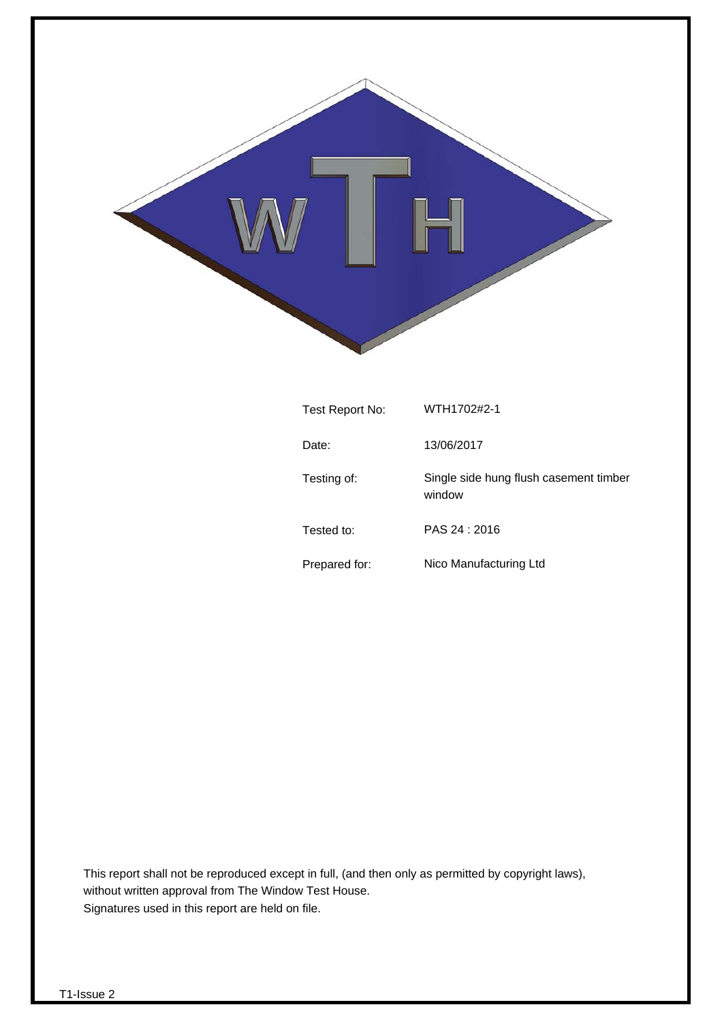

| Test Report No: | WTH1702#2-1                                      |
|-----------------|--------------------------------------------------|
| Date:           | 13/06/2017                                       |
| Testing of:     | Single side hung flush casement timber<br>window |
| Tested to:      | PAS 24 : 2016                                    |
| Prepared for:   | Nico Manufacturing Ltd                           |

This report shall not be reproduced except in full, (and then only as permitted by copyright laws), without written approval from The Window Test House. Signatures used in this report are held on file.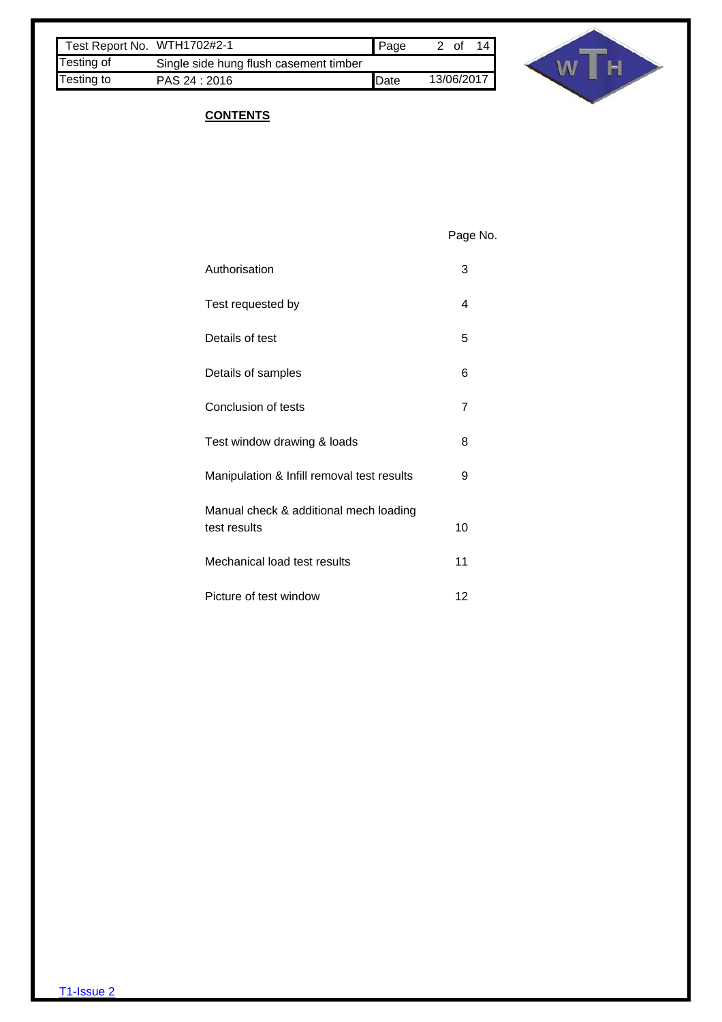| Test Report No. WTH1702#2-1 |                                        | <b>Page</b>   | 0t         |
|-----------------------------|----------------------------------------|---------------|------------|
| Testing of                  | Single side hung flush casement timber |               |            |
| Testing to                  | PAS 24 : 2016                          | <b>I</b> Date | 13/06/2017 |



## **CONTENTS**

Page No.

| Authorisation                              | 3               |
|--------------------------------------------|-----------------|
| Test requested by                          | 4               |
| Details of test                            | 5               |
| Details of samples                         | 6               |
| Conclusion of tests                        | 7               |
| Test window drawing & loads                | 8               |
| Manipulation & Infill removal test results | 9               |
| Manual check & additional mech loading     |                 |
| test results                               | 10 <sup>1</sup> |
| Mechanical load test results               | 11              |
| Picture of test window                     | 12              |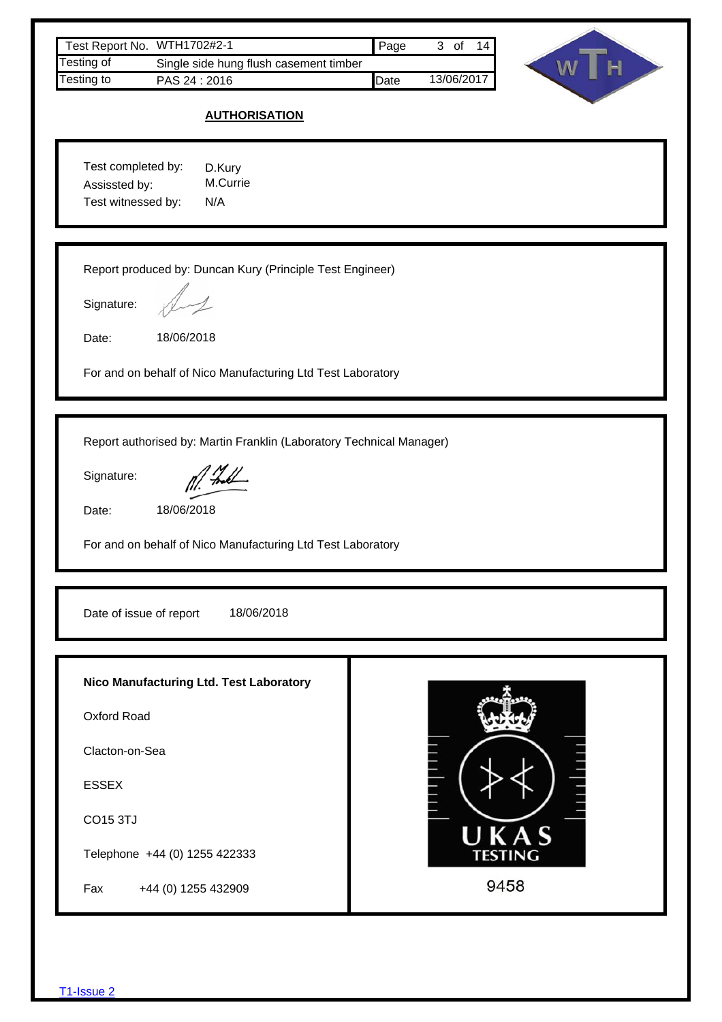| Test Report No. WTH1702#2-1                                                                                                                                              | Page<br>3 of 14         |
|--------------------------------------------------------------------------------------------------------------------------------------------------------------------------|-------------------------|
| <b>Testing of</b><br>Single side hung flush casement timber<br>Testing to<br>PAS 24:2016                                                                                 | W<br>Date<br>13/06/2017 |
| <b>AUTHORISATION</b>                                                                                                                                                     |                         |
| Test completed by:<br>D.Kury<br>M.Currie<br>Assissted by:<br>Test witnessed by:<br>N/A                                                                                   |                         |
| Report produced by: Duncan Kury (Principle Test Engineer)<br>Signature:<br>Date:<br>18/06/2018<br>For and on behalf of Nico Manufacturing Ltd Test Laboratory            |                         |
| Report authorised by: Martin Franklin (Laboratory Technical Manager)<br>Signature:<br>18/06/2018<br>Date:<br>For and on behalf of Nico Manufacturing Ltd Test Laboratory |                         |
| Date of issue of report<br>18/06/2018                                                                                                                                    |                         |
| Nico Manufacturing Ltd. Test Laboratory<br>Oxford Road                                                                                                                   |                         |
| Clacton-on-Sea                                                                                                                                                           |                         |
| <b>ESSEX</b>                                                                                                                                                             |                         |
| CO15 3TJ                                                                                                                                                                 |                         |
| Telephone +44 (0) 1255 422333                                                                                                                                            | JKAS<br><b>TESTING</b>  |
| Fax<br>+44 (0) 1255 432909                                                                                                                                               | 9458                    |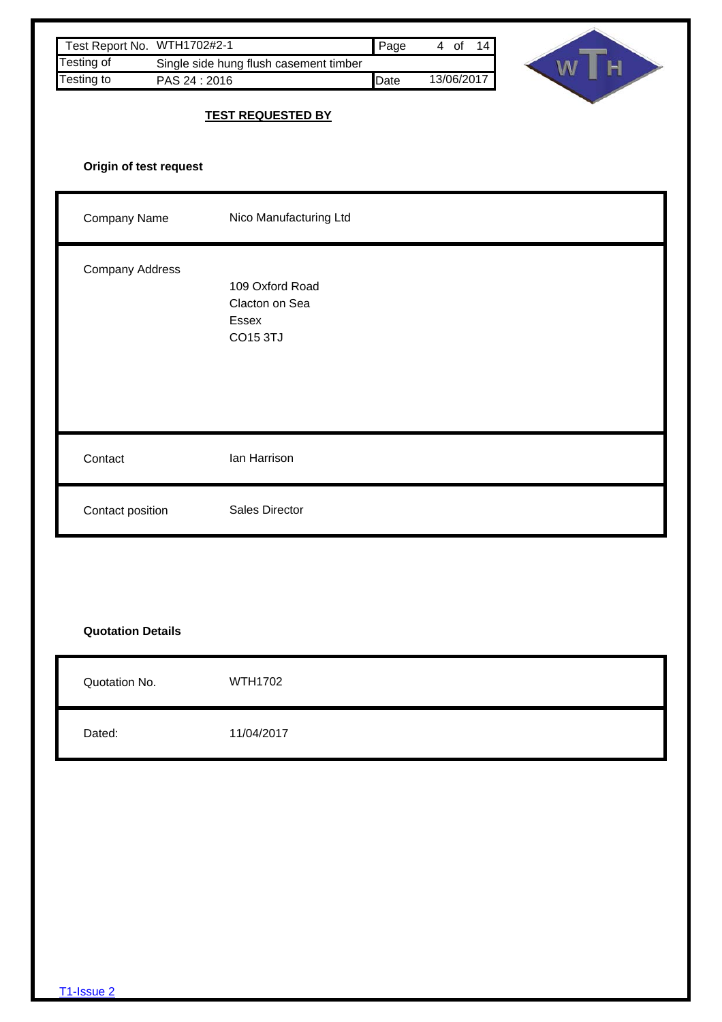| Test Report No. WTH1702#2-1             |                                                        | Page | 4 of 14    |        |
|-----------------------------------------|--------------------------------------------------------|------|------------|--------|
| Testing of<br>Testing to<br>PAS 24:2016 | Single side hung flush casement timber                 | Date | 13/06/2017 | H<br>W |
|                                         | <b>TEST REQUESTED BY</b>                               |      |            |        |
| Origin of test request                  |                                                        |      |            |        |
| Company Name                            | Nico Manufacturing Ltd                                 |      |            |        |
| Company Address                         | 109 Oxford Road<br>Clacton on Sea<br>Essex<br>CO15 3TJ |      |            |        |
| Contact                                 | lan Harrison                                           |      |            |        |
| Contact position                        | Sales Director                                         |      |            |        |
|                                         |                                                        |      |            |        |
| <b>Quotation Details</b>                |                                                        |      |            |        |
| Quotation No.                           | <b>WTH1702</b>                                         |      |            |        |
| Dated:                                  | 11/04/2017                                             |      |            |        |
|                                         |                                                        |      |            |        |
|                                         |                                                        |      |            |        |
|                                         |                                                        |      |            |        |
|                                         |                                                        |      |            |        |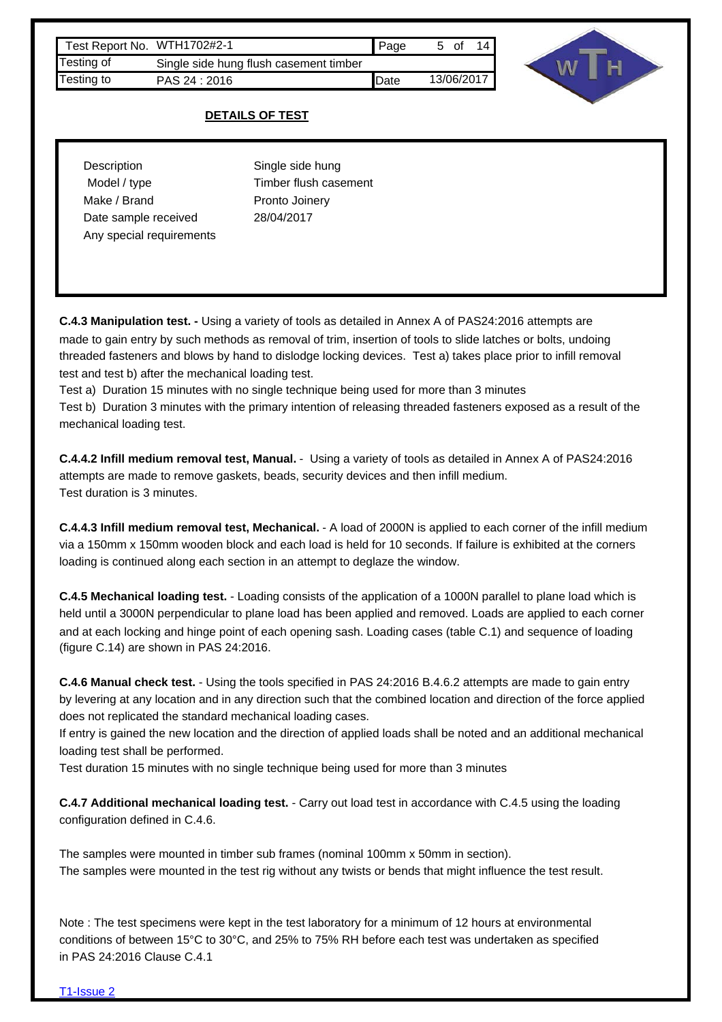| Test Report No. WTH1702#2-1 |                                        | <b>  Page</b> | 5 of       |
|-----------------------------|----------------------------------------|---------------|------------|
| Testing of                  | Single side hung flush casement timber |               |            |
| Testing to                  | PAS 24 : 2016                          | Date          | 13/06/2017 |



#### **DETAILS OF TEST**

| Description              | Single side hung      |
|--------------------------|-----------------------|
| Model / type             | Timber flush casement |
| Make / Brand             | Pronto Joinery        |
| Date sample received     | 28/04/2017            |
| Any special requirements |                       |

**C.4.3 Manipulation test. -** Using a variety of tools as detailed in Annex A of PAS24:2016 attempts are made to gain entry by such methods as removal of trim, insertion of tools to slide latches or bolts, undoing threaded fasteners and blows by hand to dislodge locking devices. Test a) takes place prior to infill removal test and test b) after the mechanical loading test.

Test a) Duration 15 minutes with no single technique being used for more than 3 minutes Test b) Duration 3 minutes with the primary intention of releasing threaded fasteners exposed as a result of the mechanical loading test.

**C.4.4.2 Infill medium removal test, Manual.** - Using a variety of tools as detailed in Annex A of PAS24:2016 attempts are made to remove gaskets, beads, security devices and then infill medium. Test duration is 3 minutes.

**C.4.4.3 Infill medium removal test, Mechanical.** - A load of 2000N is applied to each corner of the infill medium via a 150mm x 150mm wooden block and each load is held for 10 seconds. If failure is exhibited at the corners loading is continued along each section in an attempt to deglaze the window.

**C.4.5 Mechanical loading test.** - Loading consists of the application of a 1000N parallel to plane load which is held until a 3000N perpendicular to plane load has been applied and removed. Loads are applied to each corner and at each locking and hinge point of each opening sash. Loading cases (table C.1) and sequence of loading (figure C.14) are shown in PAS 24:2016.

**C.4.6 Manual check test.** - Using the tools specified in PAS 24:2016 B.4.6.2 attempts are made to gain entry by levering at any location and in any direction such that the combined location and direction of the force applied does not replicated the standard mechanical loading cases.

If entry is gained the new location and the direction of applied loads shall be noted and an additional mechanical loading test shall be performed.

Test duration 15 minutes with no single technique being used for more than 3 minutes

**C.4.7 Additional mechanical loading test.** - Carry out load test in accordance with C.4.5 using the loading configuration defined in C.4.6.

The samples were mounted in timber sub frames (nominal 100mm x 50mm in section). The samples were mounted in the test rig without any twists or bends that might influence the test result.

Note : The test specimens were kept in the test laboratory for a minimum of 12 hours at environmental conditions of between 15°C to 30°C, and 25% to 75% RH before each test was undertaken as specified in PAS 24:2016 Clause C.4.1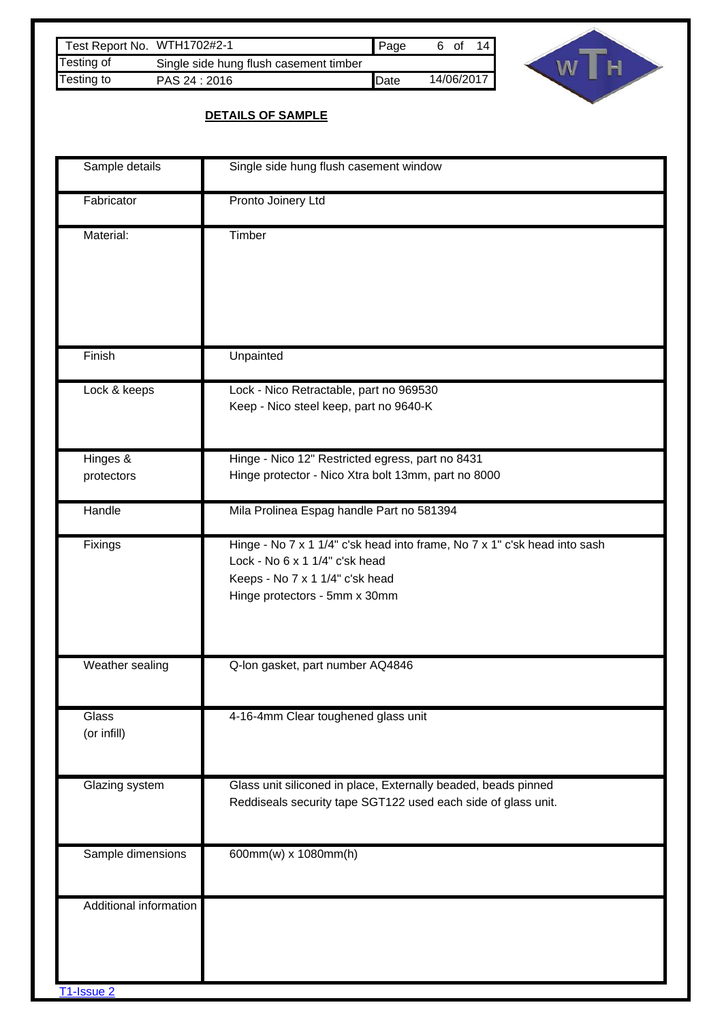| Test Report No. WTH1702#2-1 |                                        | <b>Page</b> | 6 of |            |
|-----------------------------|----------------------------------------|-------------|------|------------|
| Testing of                  | Single side hung flush casement timber |             |      |            |
| Testing to                  | PAS 24 : 2016                          | Date        |      | 14/06/2017 |



## **DETAILS OF SAMPLE**

| Sample details                       | Single side hung flush casement window                                                                                                                                          |
|--------------------------------------|---------------------------------------------------------------------------------------------------------------------------------------------------------------------------------|
| Fabricator                           | Pronto Joinery Ltd                                                                                                                                                              |
| Material:                            | Timber                                                                                                                                                                          |
| Finish                               | Unpainted                                                                                                                                                                       |
| Lock & keeps                         | Lock - Nico Retractable, part no 969530<br>Keep - Nico steel keep, part no 9640-K                                                                                               |
| Hinges &<br>protectors               | Hinge - Nico 12" Restricted egress, part no 8431<br>Hinge protector - Nico Xtra bolt 13mm, part no 8000                                                                         |
| Handle                               | Mila Prolinea Espag handle Part no 581394                                                                                                                                       |
| Fixings                              | Hinge - No 7 x 1 1/4" c'sk head into frame, No 7 x 1" c'sk head into sash<br>Lock - No 6 x 1 1/4" c'sk head<br>Keeps - No 7 x 1 1/4" c'sk head<br>Hinge protectors - 5mm x 30mm |
| Weather sealing                      | Q-lon gasket, part number AQ4846                                                                                                                                                |
| Glass<br>(or infill)                 | 4-16-4mm Clear toughened glass unit                                                                                                                                             |
| Glazing system                       | Glass unit siliconed in place, Externally beaded, beads pinned<br>Reddiseals security tape SGT122 used each side of glass unit.                                                 |
| Sample dimensions                    | 600mm(w) x 1080mm(h)                                                                                                                                                            |
| Additional information<br>T1-Issue 2 |                                                                                                                                                                                 |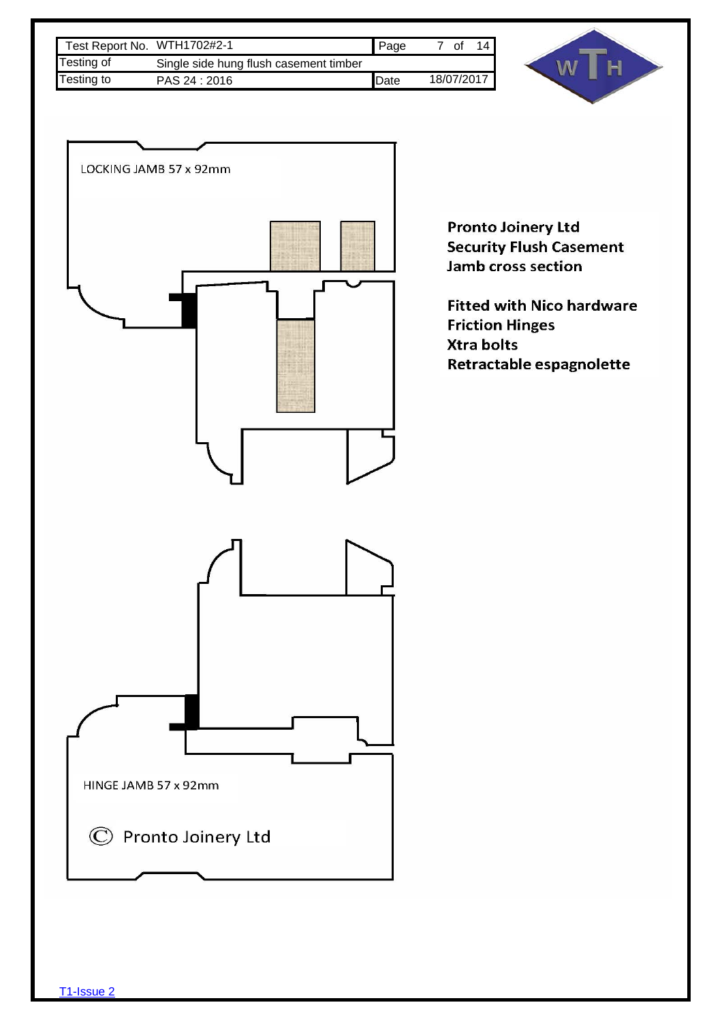| Test Report No. WTH1702#2-1 |                                        | l Page       | Οt         |  |
|-----------------------------|----------------------------------------|--------------|------------|--|
| Testing of                  | Single side hung flush casement timber |              |            |  |
| Testing to                  | PAS 24 : 2016                          | <b>IDate</b> | 18/07/2017 |  |



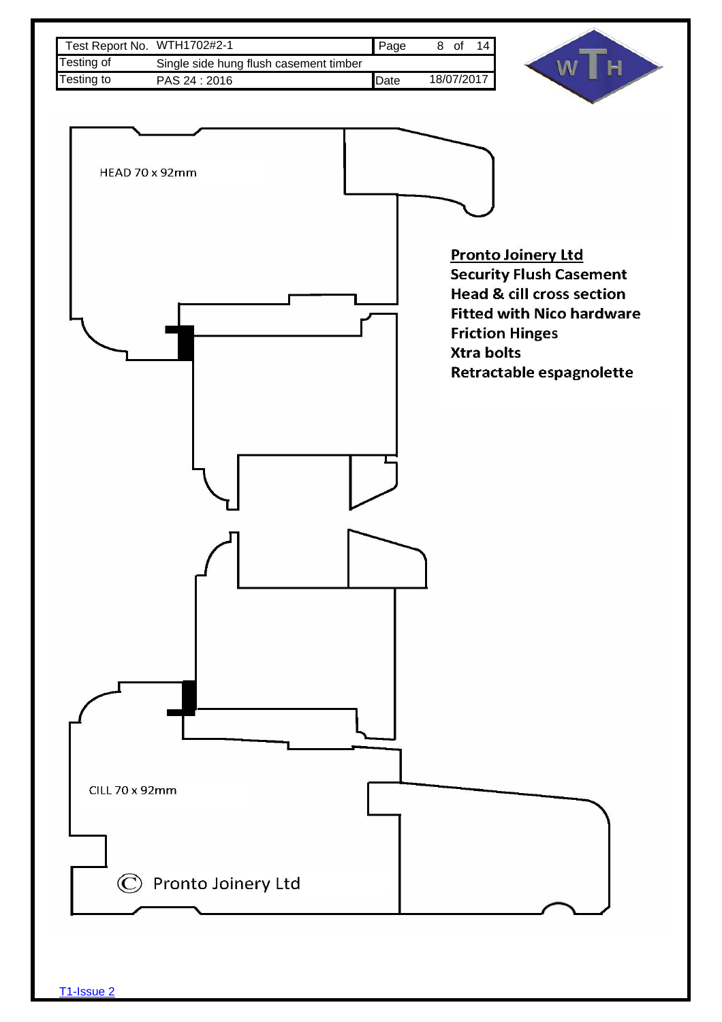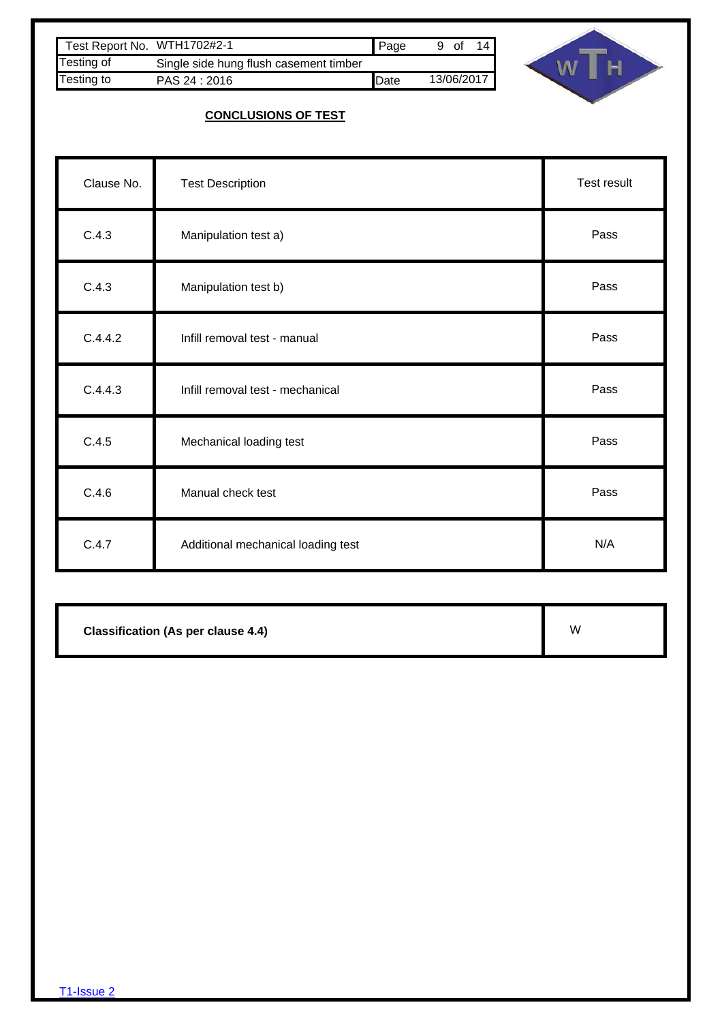| Test Report No. WTH1702#2-1 |                                        | Page | 9 of | 14 I       |
|-----------------------------|----------------------------------------|------|------|------------|
| Testing of                  | Single side hung flush casement timber |      |      |            |
| Testing to                  | PAS 24 : 2016                          | Date |      | 13/06/2017 |



# **CONCLUSIONS OF TEST**

| Clause No. | <b>Test Description</b>            | Test result |
|------------|------------------------------------|-------------|
| C.4.3      | Manipulation test a)               | Pass        |
| C.4.3      | Manipulation test b)               | Pass        |
| C.4.4.2    | Infill removal test - manual       | Pass        |
| C.4.4.3    | Infill removal test - mechanical   | Pass        |
| C.4.5      | Mechanical loading test            | Pass        |
| C.4.6      | Manual check test                  | Pass        |
| C.4.7      | Additional mechanical loading test | N/A         |

**Classification (As per clause 4.4)**

W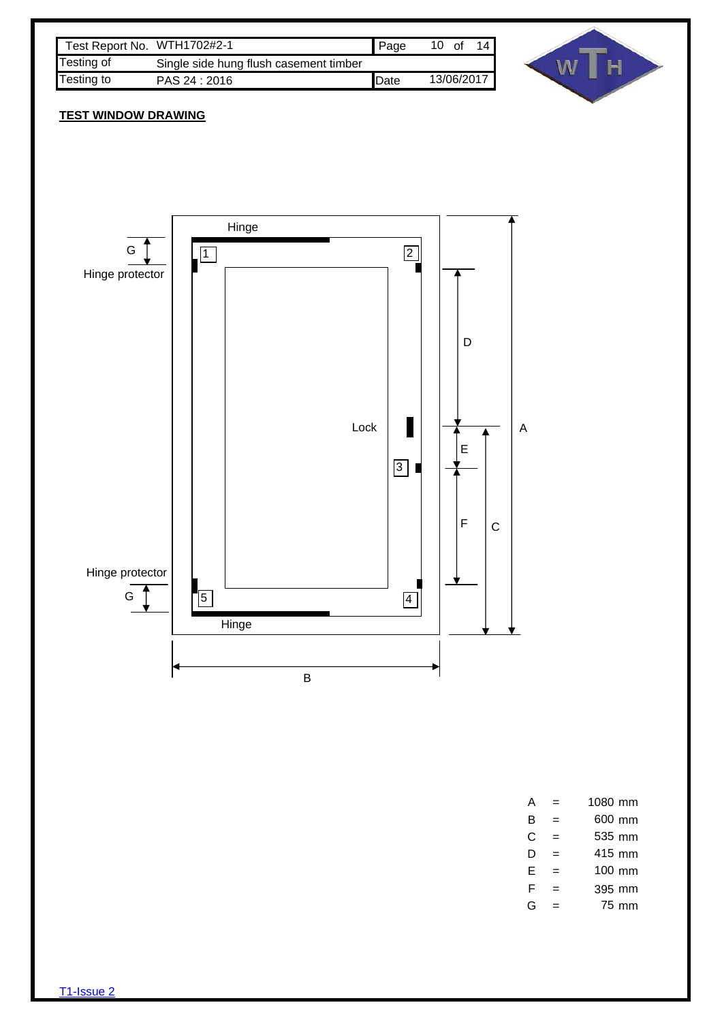| Test Report No. WTH1702#2-1 |                                        | Page         | 10 | of |            |
|-----------------------------|----------------------------------------|--------------|----|----|------------|
| Testing of                  | Single side hung flush casement timber |              |    |    |            |
| Testing to                  | PAS 24 : 2016                          | <b>IDate</b> |    |    | 13/06/2017 |



## **TEST WINDOW DRAWING**



| А | 1080 mm |
|---|---------|
| R | 600 mm  |
| C | 535 mm  |
| D | 415 mm  |
| E | 100 mm  |
| F | 395 mm  |
| G | 75 mm   |
|   |         |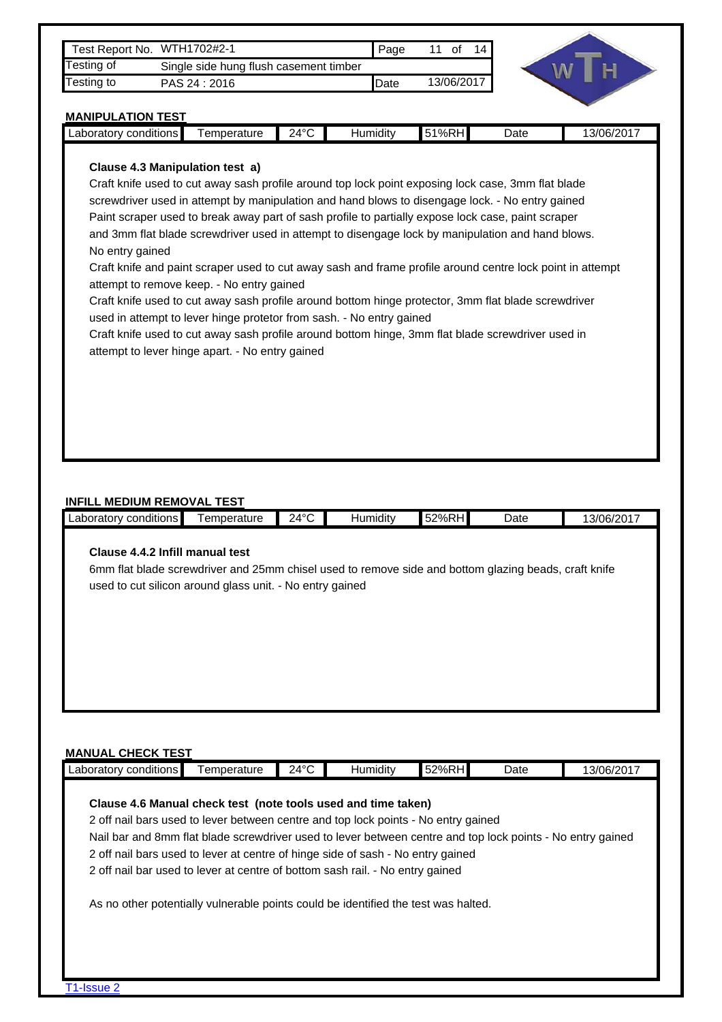| Testing of                                                 | Test Report No. WTH1702#2-1                                                                                                                                                                                                                                                                                                                                                                                                                                                                                                                                                                                                                                                                                                                                                                                                                                                                                                                         |                | Page     | 11 of 14   |      |            |
|------------------------------------------------------------|-----------------------------------------------------------------------------------------------------------------------------------------------------------------------------------------------------------------------------------------------------------------------------------------------------------------------------------------------------------------------------------------------------------------------------------------------------------------------------------------------------------------------------------------------------------------------------------------------------------------------------------------------------------------------------------------------------------------------------------------------------------------------------------------------------------------------------------------------------------------------------------------------------------------------------------------------------|----------------|----------|------------|------|------------|
| Testing to                                                 | Single side hung flush casement timber<br>PAS 24 : 2016                                                                                                                                                                                                                                                                                                                                                                                                                                                                                                                                                                                                                                                                                                                                                                                                                                                                                             |                | Date     | 13/06/2017 |      |            |
|                                                            |                                                                                                                                                                                                                                                                                                                                                                                                                                                                                                                                                                                                                                                                                                                                                                                                                                                                                                                                                     |                |          |            |      |            |
| <b>MANIPULATION TEST</b><br>Laboratory conditions          | Temperature                                                                                                                                                                                                                                                                                                                                                                                                                                                                                                                                                                                                                                                                                                                                                                                                                                                                                                                                         | $24^{\circ}$ C | Humidity | 51%RH      | Date | 13/06/2017 |
| No entry gained                                            | Clause 4.3 Manipulation test a)<br>Craft knife used to cut away sash profile around top lock point exposing lock case, 3mm flat blade<br>screwdriver used in attempt by manipulation and hand blows to disengage lock. - No entry gained<br>Paint scraper used to break away part of sash profile to partially expose lock case, paint scraper<br>and 3mm flat blade screwdriver used in attempt to disengage lock by manipulation and hand blows.<br>Craft knife and paint scraper used to cut away sash and frame profile around centre lock point in attempt<br>attempt to remove keep. - No entry gained<br>Craft knife used to cut away sash profile around bottom hinge protector, 3mm flat blade screwdriver<br>used in attempt to lever hinge protetor from sash. - No entry gained<br>Craft knife used to cut away sash profile around bottom hinge, 3mm flat blade screwdriver used in<br>attempt to lever hinge apart. - No entry gained |                |          |            |      |            |
|                                                            |                                                                                                                                                                                                                                                                                                                                                                                                                                                                                                                                                                                                                                                                                                                                                                                                                                                                                                                                                     |                |          |            |      |            |
|                                                            |                                                                                                                                                                                                                                                                                                                                                                                                                                                                                                                                                                                                                                                                                                                                                                                                                                                                                                                                                     |                |          |            |      |            |
| <b>INFILL MEDIUM REMOVAL TEST</b><br>Laboratory conditions | Temperature                                                                                                                                                                                                                                                                                                                                                                                                                                                                                                                                                                                                                                                                                                                                                                                                                                                                                                                                         | $24^{\circ}$ C | Humidity | 52%RH      | Date | 13/06/2017 |

## **MANUAL CHECK TEST**

| Clause 4.6 Manual check test (note tools used and time taken)                                              |  |  |  |
|------------------------------------------------------------------------------------------------------------|--|--|--|
| 2 off nail bars used to lever between centre and top lock points - No entry gained                         |  |  |  |
| Nail bar and 8mm flat blade screwdriver used to lever between centre and top lock points - No entry gained |  |  |  |
| 2 off nail bars used to lever at centre of hinge side of sash - No entry gained                            |  |  |  |
| 2 off nail bar used to lever at centre of bottom sash rail. - No entry gained                              |  |  |  |
| As no other potentially vulnerable points could be identified the test was halted.                         |  |  |  |
|                                                                                                            |  |  |  |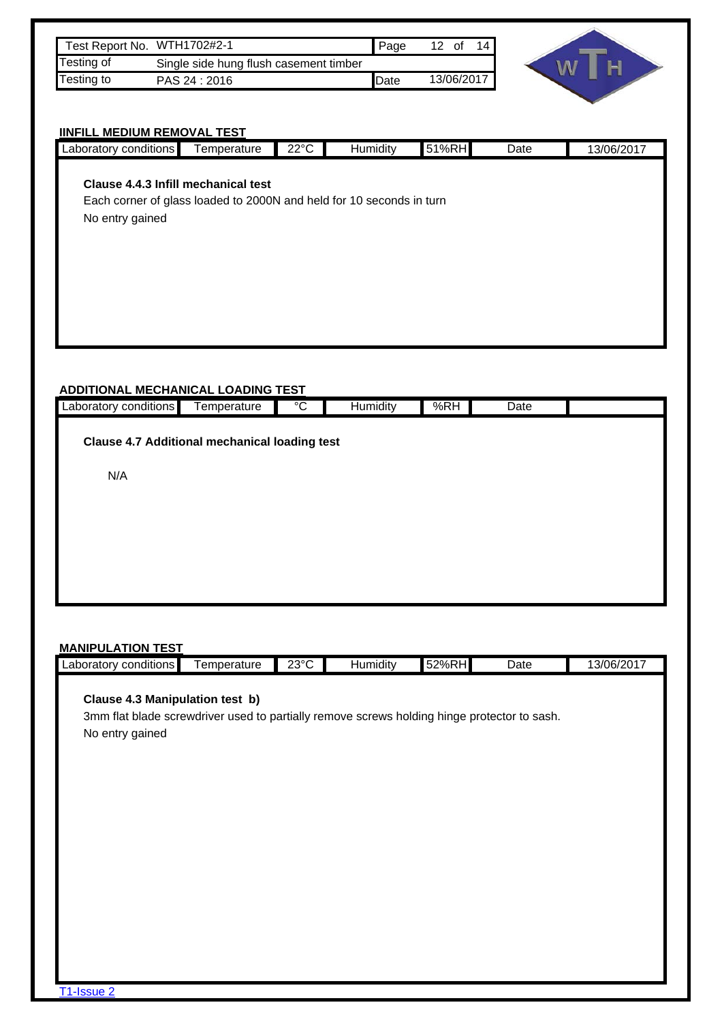| Test Report No. WTH1702#2-1 |                                        | Page         | 0f         | 14. |
|-----------------------------|----------------------------------------|--------------|------------|-----|
| <b>Testing of</b>           | Single side hung flush casement timber |              |            |     |
| Testing to                  | PAS 24 : 2016                          | <b>IDate</b> | 13/06/2017 |     |



# **IINFILL MEDIUM REMOVAL TEST**

| Laboratory conditions                                                |             |                |                 |       |      |            |
|----------------------------------------------------------------------|-------------|----------------|-----------------|-------|------|------------|
|                                                                      | Temperature | $22^{\circ}$ C | <b>Humidity</b> | 51%RH | Date | 13/06/2017 |
|                                                                      |             |                |                 |       |      |            |
| <b>Clause 4.4.3 Infill mechanical test</b>                           |             |                |                 |       |      |            |
| Each corner of glass loaded to 2000N and held for 10 seconds in turn |             |                |                 |       |      |            |
|                                                                      |             |                |                 |       |      |            |
| No entry gained                                                      |             |                |                 |       |      |            |
|                                                                      |             |                |                 |       |      |            |
|                                                                      |             |                |                 |       |      |            |
|                                                                      |             |                |                 |       |      |            |
|                                                                      |             |                |                 |       |      |            |
|                                                                      |             |                |                 |       |      |            |
|                                                                      |             |                |                 |       |      |            |
|                                                                      |             |                |                 |       |      |            |
|                                                                      |             |                |                 |       |      |            |
|                                                                      |             |                |                 |       |      |            |
|                                                                      |             |                |                 |       |      |            |
| <b>ADDITIONAL MECHANICAL LOADING TEST</b>                            |             |                |                 |       |      |            |
|                                                                      |             | $^{\circ}C$    | Humidity        | %RH   | Date |            |
|                                                                      |             |                |                 |       |      |            |
|                                                                      | Temperature |                |                 |       |      |            |
|                                                                      |             |                |                 |       |      |            |
| <b>Clause 4.7 Additional mechanical loading test</b>                 |             |                |                 |       |      |            |
|                                                                      |             |                |                 |       |      |            |
| N/A                                                                  |             |                |                 |       |      |            |
|                                                                      |             |                |                 |       |      |            |
|                                                                      |             |                |                 |       |      |            |
|                                                                      |             |                |                 |       |      |            |
|                                                                      |             |                |                 |       |      |            |
| Laboratory conditions                                                |             |                |                 |       |      |            |
|                                                                      |             |                |                 |       |      |            |

| <b>MANIPULATION TEST</b>                                                                                                                          |             |                |          |       |      |            |
|---------------------------------------------------------------------------------------------------------------------------------------------------|-------------|----------------|----------|-------|------|------------|
| Laboratory conditions                                                                                                                             | Temperature | $23^{\circ}$ C | Humidity | 52%RH | Date | 13/06/2017 |
| Clause 4.3 Manipulation test b)<br>3mm flat blade screwdriver used to partially remove screws holding hinge protector to sash.<br>No entry gained |             |                |          |       |      |            |
| T1-Issue 2                                                                                                                                        |             |                |          |       |      |            |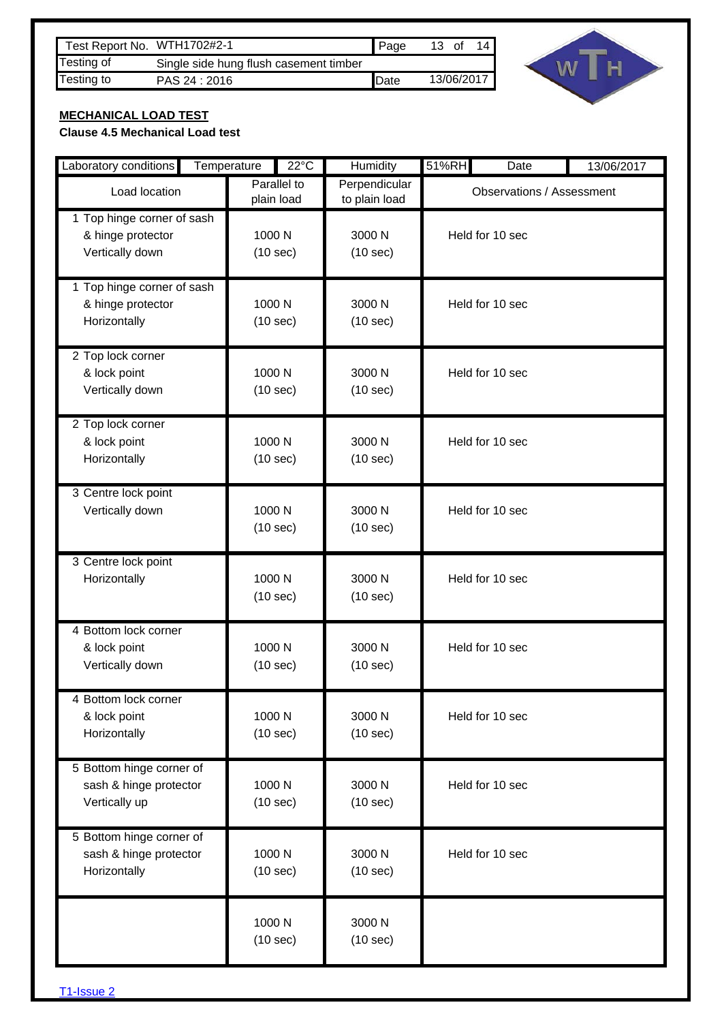| Test Report No. WTH1702#2-1 |                                        | <b>  Page</b> | 13 of |            | 14 I |
|-----------------------------|----------------------------------------|---------------|-------|------------|------|
| Testing of                  | Single side hung flush casement timber |               |       |            |      |
| Testing to                  | PAS 24 : 2016                          | <b>IDate</b>  |       | 13/06/2017 |      |



## **MECHANICAL LOAD TEST**

### **Clause 4.5 Mechanical Load test**

| Laboratory conditions                                               | Temperature |                    | $22^{\circ}$ C                                              | Humidity                       | 51%RH | Date                             | 13/06/2017 |
|---------------------------------------------------------------------|-------------|--------------------|-------------------------------------------------------------|--------------------------------|-------|----------------------------------|------------|
| Load location                                                       |             |                    | Parallel to<br>plain load                                   | Perpendicular<br>to plain load |       | <b>Observations / Assessment</b> |            |
| 1 Top hinge corner of sash<br>& hinge protector<br>Vertically down  |             | 1000 N<br>(10 sec) |                                                             | 3000 N<br>(10 sec)             |       | Held for 10 sec                  |            |
| 1 Top hinge corner of sash<br>& hinge protector<br>Horizontally     |             | 1000 N<br>(10 sec) |                                                             | 3000 N<br>(10 sec)             |       | Held for 10 sec                  |            |
| 2 Top lock corner<br>& lock point<br>Vertically down                |             |                    | 1000 N<br>3000 N<br>Held for 10 sec<br>(10 sec)<br>(10 sec) |                                |       |                                  |            |
| 2 Top lock corner<br>& lock point<br>Horizontally                   |             | 1000 N<br>(10 sec) |                                                             | 3000 N<br>(10 sec)             |       | Held for 10 sec                  |            |
| 3 Centre lock point<br>Vertically down                              |             | 1000 N<br>(10 sec) |                                                             | 3000 N<br>(10 sec)             |       | Held for 10 sec                  |            |
| 3 Centre lock point<br>Horizontally                                 |             | 1000 N<br>(10 sec) |                                                             | 3000 N<br>(10 sec)             |       | Held for 10 sec                  |            |
| 4 Bottom lock corner<br>& lock point<br>Vertically down             |             | 1000 N<br>(10 sec) |                                                             | 3000 N<br>(10 sec)             |       | Held for 10 sec                  |            |
| 4 Bottom lock corner<br>& lock point<br>Horizontally                |             | 1000 N<br>(10 sec) |                                                             | 3000 N<br>(10 sec)             |       | Held for 10 sec                  |            |
| 5 Bottom hinge corner of<br>sash & hinge protector<br>Vertically up |             | 1000 N<br>(10 sec) |                                                             | 3000 N<br>(10 sec)             |       | Held for 10 sec                  |            |
| 5 Bottom hinge corner of<br>sash & hinge protector<br>Horizontally  |             | 1000 N<br>(10 sec) |                                                             | 3000 N<br>(10 sec)             |       | Held for 10 sec                  |            |
|                                                                     |             | 1000 N<br>(10 sec) |                                                             | 3000 N<br>(10 sec)             |       |                                  |            |